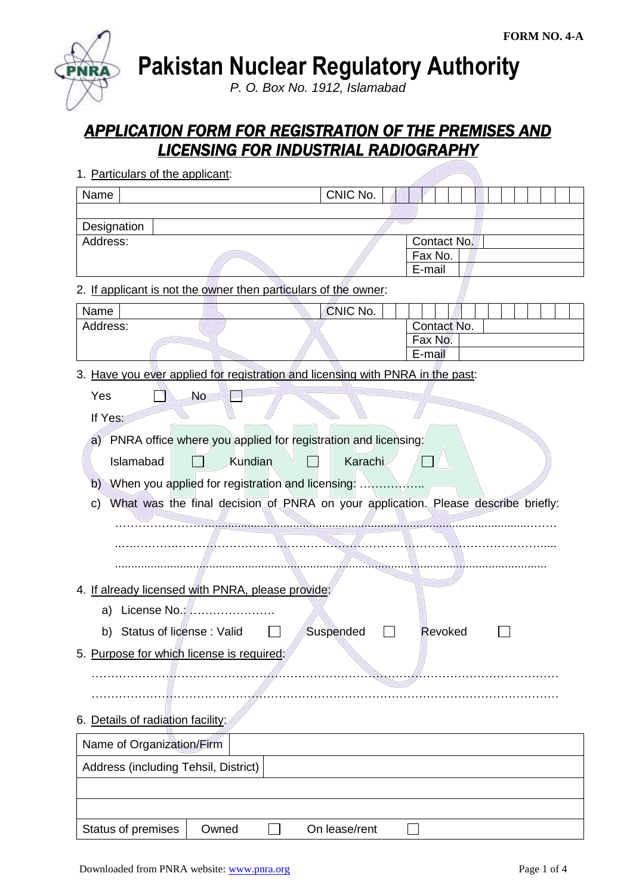**Pakistan Nuclear Regulatory Authority**

*P. O. Box No. 1912, Islamabad*

# *APPLICATION FORM FOR REGISTRATION OF THE PREMISES AND LICENSING FOR INDUSTRIAL RADIOGRAPHY*

| Name                                                                                    | CNIC No.      |                        |
|-----------------------------------------------------------------------------------------|---------------|------------------------|
|                                                                                         |               |                        |
| Designation                                                                             |               |                        |
| Address:                                                                                |               | Contact No.            |
|                                                                                         |               | Fax No.<br>E-mail      |
|                                                                                         |               |                        |
| 2. If applicant is not the owner then particulars of the owner:                         |               |                        |
| Name                                                                                    | CNIC No.      |                        |
| Address:                                                                                |               | Contact No.<br>Fax No. |
|                                                                                         |               | E-mail                 |
| 3. Have you ever applied for registration and licensing with PNRA in the past:          |               |                        |
| Yes<br>No                                                                               |               |                        |
| If Yes:                                                                                 |               |                        |
| a) PNRA office where you applied for registration and licensing:                        |               |                        |
| Islamabad<br>Kundian                                                                    | Karachi       |                        |
|                                                                                         |               |                        |
| b)                                                                                      |               |                        |
| What was the final decision of PNRA on your application. Please describe briefly:<br>C) |               |                        |
|                                                                                         |               |                        |
|                                                                                         |               |                        |
|                                                                                         |               |                        |
| 4. If already licensed with PNRA, please provide:                                       |               |                        |
| License No.:<br>a)                                                                      |               |                        |
| b) Status of license: Valid                                                             | Suspended     | Revoked                |
| 5. Purpose for which license is required:                                               |               |                        |
|                                                                                         |               |                        |
|                                                                                         |               |                        |
|                                                                                         |               |                        |
| 6. Details of radiation facility:                                                       |               |                        |
| Name of Organization/Firm                                                               |               |                        |
| Address (including Tehsil, District)                                                    |               |                        |
|                                                                                         |               |                        |
|                                                                                         |               |                        |
| Status of premises<br>Owned                                                             | On lease/rent |                        |

1. Particulars of the applicant: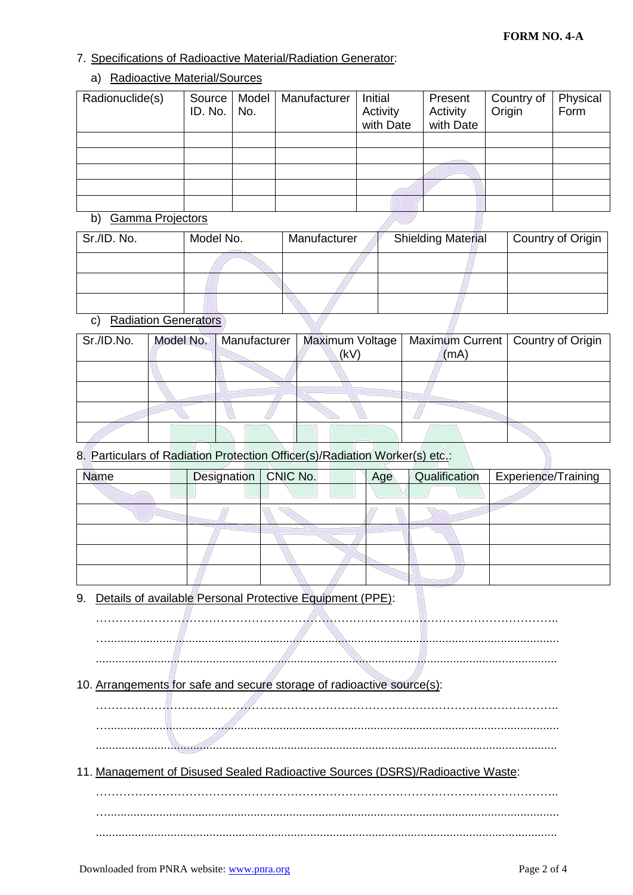### 7. Specifications of Radioactive Material/Radiation Generator:

### a) Radioactive Material/Sources

| Radionuclide(s) | Source<br>ID. No. | Model  <br>No. | Manufacturer | Initial<br>Activity<br>with Date | Present<br>Activity<br>with Date | Country of<br>Origin | Physical<br>Form |
|-----------------|-------------------|----------------|--------------|----------------------------------|----------------------------------|----------------------|------------------|
|                 |                   |                |              |                                  |                                  |                      |                  |
|                 |                   |                |              |                                  |                                  |                      |                  |
|                 |                   |                |              |                                  |                                  |                      |                  |
|                 |                   |                |              |                                  |                                  |                      |                  |
|                 |                   |                |              |                                  |                                  |                      |                  |

### b) Gamma Projectors

| Sr./ID. No. | Model No. | Manufacturer | <b>Shielding Material</b> | Country of Origin |
|-------------|-----------|--------------|---------------------------|-------------------|
|             |           |              |                           |                   |
|             |           |              |                           |                   |
|             |           |              |                           |                   |

# c) Radiation Generators

| Sr./ID.No. | Model No.   Manufacturer | Maximum Voltage<br>(kV) | Maximum Current   Country of Origin<br>(mA) |  |
|------------|--------------------------|-------------------------|---------------------------------------------|--|
|            |                          |                         |                                             |  |
|            |                          |                         |                                             |  |
|            |                          |                         |                                             |  |
|            |                          |                         |                                             |  |

## 8. Particulars of Radiation Protection Officer(s)/Radiation Worker(s) etc.:

| <b>Name</b> | Designation   CNIC No. | Age | Qualification | Experience/Training |
|-------------|------------------------|-----|---------------|---------------------|
|             |                        |     |               |                     |
|             |                        |     |               |                     |
|             |                        |     |               |                     |
|             |                        |     |               |                     |
|             |                        |     |               |                     |

9. Details of available Personal Protective Equipment (PPE):

……………………………………………………………………………………………………….. …........................................................................................................................................... ..............................................................................................................................................

- 10. Arrangements for safe and secure storage of radioactive source(s):
	- ……………………………………………………………………………………………………….. …...........................................................................................................................................

..............................................................................................................................................

11. Management of Disused Sealed Radioactive Sources (DSRS)/Radioactive Waste:

……………………………………………………………………………………………………….. …........................................................................................................................................... ..............................................................................................................................................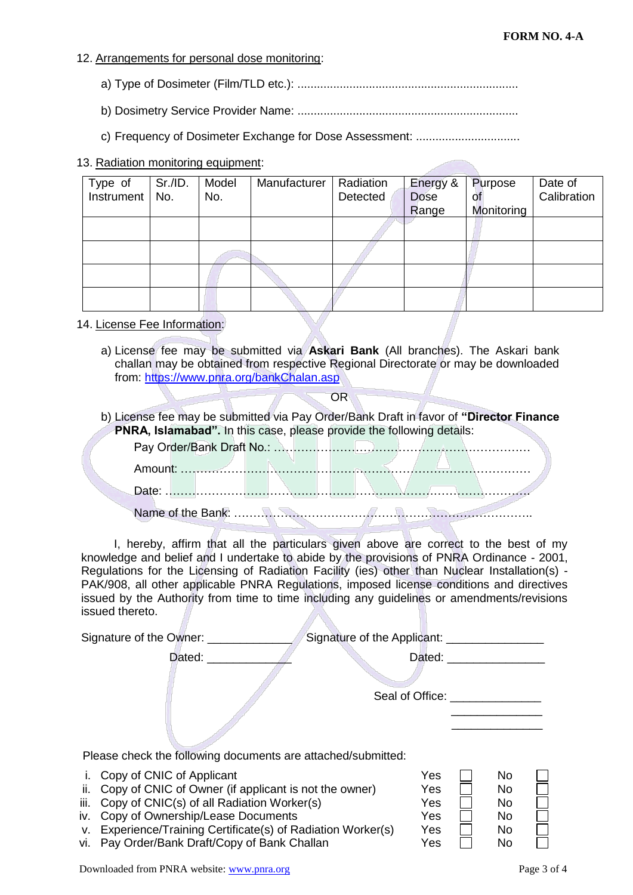#### 12. Arrangements for personal dose monitoring:

- a) Type of Dosimeter (Film/TLD etc.): ....................................................................
- b) Dosimetry Service Provider Name: ....................................................................
- c) Frequency of Dosimeter Exchange for Dose Assessment: ................................

### 13. Radiation monitoring equipment:

| Type of    | Sr./ID. | Model | Manufacturer | Radiation | Energy &    | Purpose    | Date of     |
|------------|---------|-------|--------------|-----------|-------------|------------|-------------|
| Instrument | No.     | No.   |              | Detected  | <b>Dose</b> | of         | Calibration |
|            |         |       |              |           | Range       | Monitoring |             |
|            |         |       |              |           |             |            |             |
|            |         |       |              |           |             |            |             |
|            |         |       |              |           |             |            |             |
|            |         |       |              |           |             |            |             |
|            |         |       |              |           |             |            |             |
|            |         |       |              |           |             |            |             |
|            |         |       |              |           |             |            |             |
|            |         |       |              |           |             |            |             |

### 14. License Fee Information:

a) License fee may be submitted via **Askari Bank** (All branches). The Askari bank challan may be obtained from respective Regional Directorate or may be downloaded from:<https://www.pnra.org/bankChalan.asp>

OR

b) License fee may be submitted via Pay Order/Bank Draft in favor of **"Director Finance PNRA, Islamabad".** In this case, please provide the following details:

Pay Order/Bank Draft No.: ………………………………………………………… Amount: ……………………………………………………………………………… Date: ………………………………………………………………………………….

Name of the Bank: …………………………………………………………………..

I, hereby, affirm that all the particulars given above are correct to the best of my knowledge and belief and I undertake to abide by the provisions of PNRA Ordinance - 2001, Regulations for the Licensing of Radiation Facility (ies) other than Nuclear Installation(s) - PAK/908, all other applicable PNRA Regulations, imposed license conditions and directives issued by the Authority from time to time including any guidelines or amendments/revisions issued thereto.

| Signature of the Owner:                                      | Signature of the Applicant:      |
|--------------------------------------------------------------|----------------------------------|
| Dated: <b>Example</b>                                        | Dated: _________________         |
|                                                              |                                  |
|                                                              | Seal of Office: ________________ |
|                                                              |                                  |
| Please check the following documents are attached/submitted: |                                  |

- i. Copy of CNIC of Applicant
- ii. Copy of CNIC of Owner (if applicant is not the owner)
- iii. Copy of  $CNIC(s)$  of all Radiation Worker(s)
- iv. Copy of Ownership/Lease Documents
- v. Experience/Training Certificate(s) of Radiation Worker(s)
- vi. Pay Order/Bank Draft/Copy of Bank Challan

| Yes | No |  |
|-----|----|--|
| Yes | No |  |
| Yes | No |  |
| Yes | No |  |
| Yes | No |  |
| Yes | No |  |